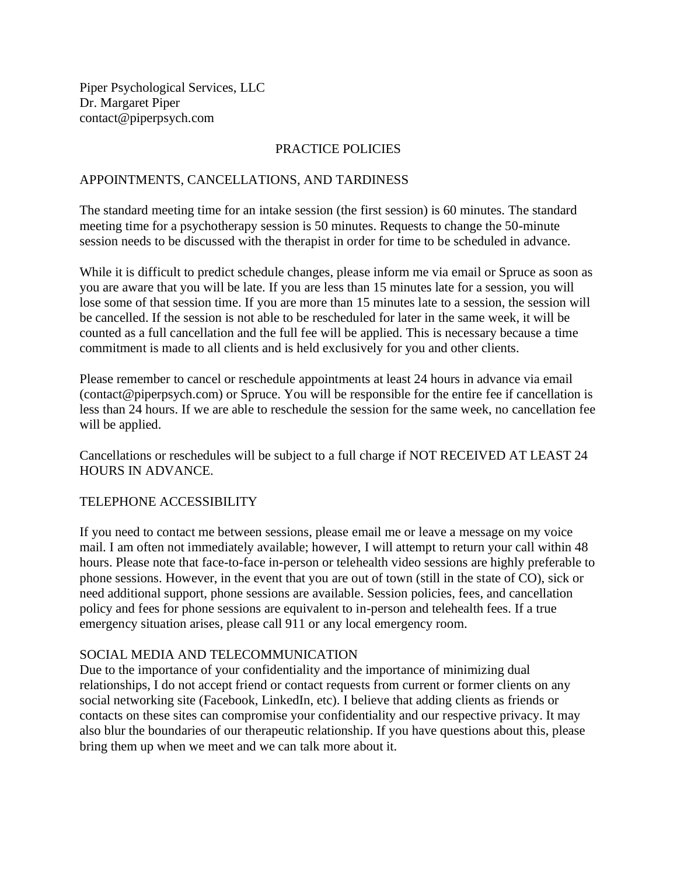Piper Psychological Services, LLC Dr. Margaret Piper contact@piperpsych.com

## PRACTICE POLICIES

## APPOINTMENTS, CANCELLATIONS, AND TARDINESS

The standard meeting time for an intake session (the first session) is 60 minutes. The standard meeting time for a psychotherapy session is 50 minutes. Requests to change the 50-minute session needs to be discussed with the therapist in order for time to be scheduled in advance.

While it is difficult to predict schedule changes, please inform me via email or Spruce as soon as you are aware that you will be late. If you are less than 15 minutes late for a session, you will lose some of that session time. If you are more than 15 minutes late to a session, the session will be cancelled. If the session is not able to be rescheduled for later in the same week, it will be counted as a full cancellation and the full fee will be applied. This is necessary because a time commitment is made to all clients and is held exclusively for you and other clients.

Please remember to cancel or reschedule appointments at least 24 hours in advance via email (contact@piperpsych.com) or Spruce. You will be responsible for the entire fee if cancellation is less than 24 hours. If we are able to reschedule the session for the same week, no cancellation fee will be applied.

Cancellations or reschedules will be subject to a full charge if NOT RECEIVED AT LEAST 24 HOURS IN ADVANCE.

## TELEPHONE ACCESSIBILITY

If you need to contact me between sessions, please email me or leave a message on my voice mail. I am often not immediately available; however, I will attempt to return your call within 48 hours. Please note that face-to-face in-person or telehealth video sessions are highly preferable to phone sessions. However, in the event that you are out of town (still in the state of CO), sick or need additional support, phone sessions are available. Session policies, fees, and cancellation policy and fees for phone sessions are equivalent to in-person and telehealth fees. If a true emergency situation arises, please call 911 or any local emergency room.

## SOCIAL MEDIA AND TELECOMMUNICATION

Due to the importance of your confidentiality and the importance of minimizing dual relationships, I do not accept friend or contact requests from current or former clients on any social networking site (Facebook, LinkedIn, etc). I believe that adding clients as friends or contacts on these sites can compromise your confidentiality and our respective privacy. It may also blur the boundaries of our therapeutic relationship. If you have questions about this, please bring them up when we meet and we can talk more about it.